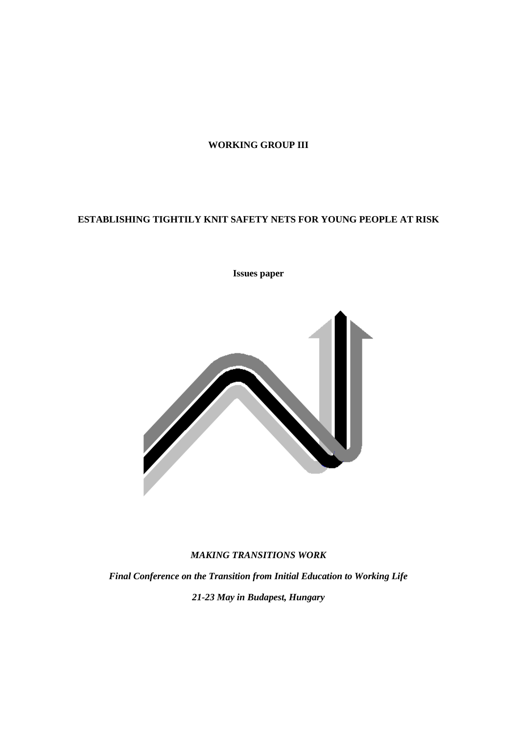# **WORKING GROUP III**

# **ESTABLISHING TIGHTILY KNIT SAFETY NETS FOR YOUNG PEOPLE AT RISK**

# **Issues paper**



# *MAKING TRANSITIONS WORK*

*Final Conference on the Transition from Initial Education to Working Life 21-23 May in Budapest, Hungary*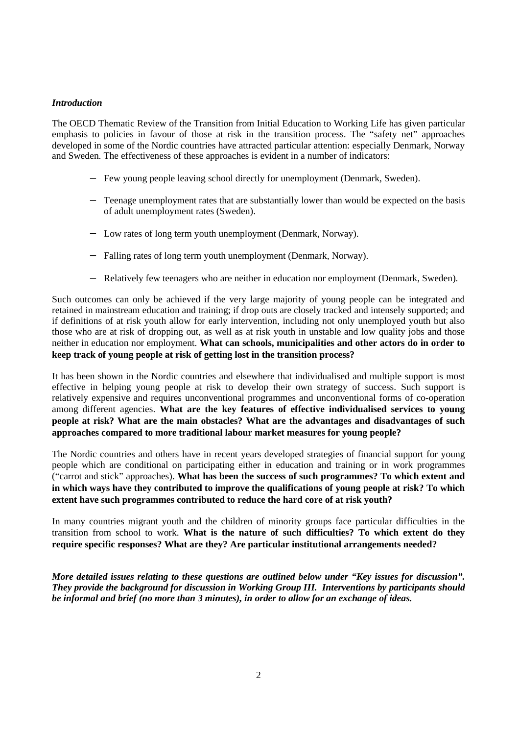#### *Introduction*

The OECD Thematic Review of the Transition from Initial Education to Working Life has given particular emphasis to policies in favour of those at risk in the transition process. The "safety net" approaches developed in some of the Nordic countries have attracted particular attention: especially Denmark, Norway and Sweden. The effectiveness of these approaches is evident in a number of indicators:

- − Few young people leaving school directly for unemployment (Denmark, Sweden).
- − Teenage unemployment rates that are substantially lower than would be expected on the basis of adult unemployment rates (Sweden).
- − Low rates of long term youth unemployment (Denmark, Norway).
- − Falling rates of long term youth unemployment (Denmark, Norway).
- Relatively few teenagers who are neither in education nor employment (Denmark, Sweden).

Such outcomes can only be achieved if the very large majority of young people can be integrated and retained in mainstream education and training; if drop outs are closely tracked and intensely supported; and if definitions of at risk youth allow for early intervention, including not only unemployed youth but also those who are at risk of dropping out, as well as at risk youth in unstable and low quality jobs and those neither in education nor employment. **What can schools, municipalities and other actors do in order to keep track of young people at risk of getting lost in the transition process?**

It has been shown in the Nordic countries and elsewhere that individualised and multiple support is most effective in helping young people at risk to develop their own strategy of success. Such support is relatively expensive and requires unconventional programmes and unconventional forms of co-operation among different agencies. **What are the key features of effective individualised services to young people at risk? What are the main obstacles? What are the advantages and disadvantages of such approaches compared to more traditional labour market measures for young people?**

The Nordic countries and others have in recent years developed strategies of financial support for young people which are conditional on participating either in education and training or in work programmes ("carrot and stick" approaches). **What has been the success of such programmes? To which extent and in which ways have they contributed to improve the qualifications of young people at risk? To which extent have such programmes contributed to reduce the hard core of at risk youth?**

In many countries migrant youth and the children of minority groups face particular difficulties in the transition from school to work. **What is the nature of such difficulties? To which extent do they require specific responses? What are they? Are particular institutional arrangements needed?**

*More detailed issues relating to these questions are outlined below under "Key issues for discussion". They provide the background for discussion in Working Group III. Interventions by participants should be informal and brief (no more than 3 minutes), in order to allow for an exchange of ideas.*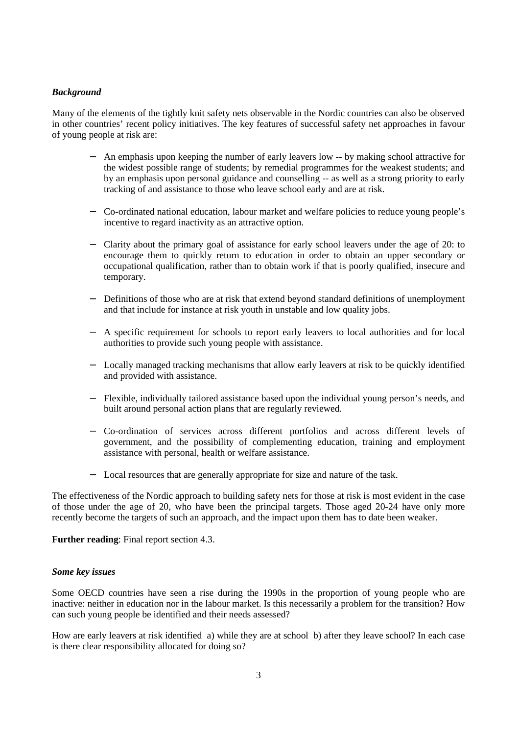# *Background*

Many of the elements of the tightly knit safety nets observable in the Nordic countries can also be observed in other countries' recent policy initiatives. The key features of successful safety net approaches in favour of young people at risk are:

- An emphasis upon keeping the number of early leavers low -- by making school attractive for the widest possible range of students; by remedial programmes for the weakest students; and by an emphasis upon personal guidance and counselling -- as well as a strong priority to early tracking of and assistance to those who leave school early and are at risk.
- − Co-ordinated national education, labour market and welfare policies to reduce young people's incentive to regard inactivity as an attractive option.
- − Clarity about the primary goal of assistance for early school leavers under the age of 20: to encourage them to quickly return to education in order to obtain an upper secondary or occupational qualification, rather than to obtain work if that is poorly qualified, insecure and temporary.
- Definitions of those who are at risk that extend beyond standard definitions of unemployment and that include for instance at risk youth in unstable and low quality jobs.
- − A specific requirement for schools to report early leavers to local authorities and for local authorities to provide such young people with assistance.
- − Locally managed tracking mechanisms that allow early leavers at risk to be quickly identified and provided with assistance.
- − Flexible, individually tailored assistance based upon the individual young person's needs, and built around personal action plans that are regularly reviewed.
- − Co-ordination of services across different portfolios and across different levels of government, and the possibility of complementing education, training and employment assistance with personal, health or welfare assistance.
- − Local resources that are generally appropriate for size and nature of the task.

The effectiveness of the Nordic approach to building safety nets for those at risk is most evident in the case of those under the age of 20, who have been the principal targets. Those aged 20-24 have only more recently become the targets of such an approach, and the impact upon them has to date been weaker.

### **Further reading**: Final report section 4.3.

#### *Some key issues*

Some OECD countries have seen a rise during the 1990s in the proportion of young people who are inactive: neither in education nor in the labour market. Is this necessarily a problem for the transition? How can such young people be identified and their needs assessed?

How are early leavers at risk identified a) while they are at school b) after they leave school? In each case is there clear responsibility allocated for doing so?